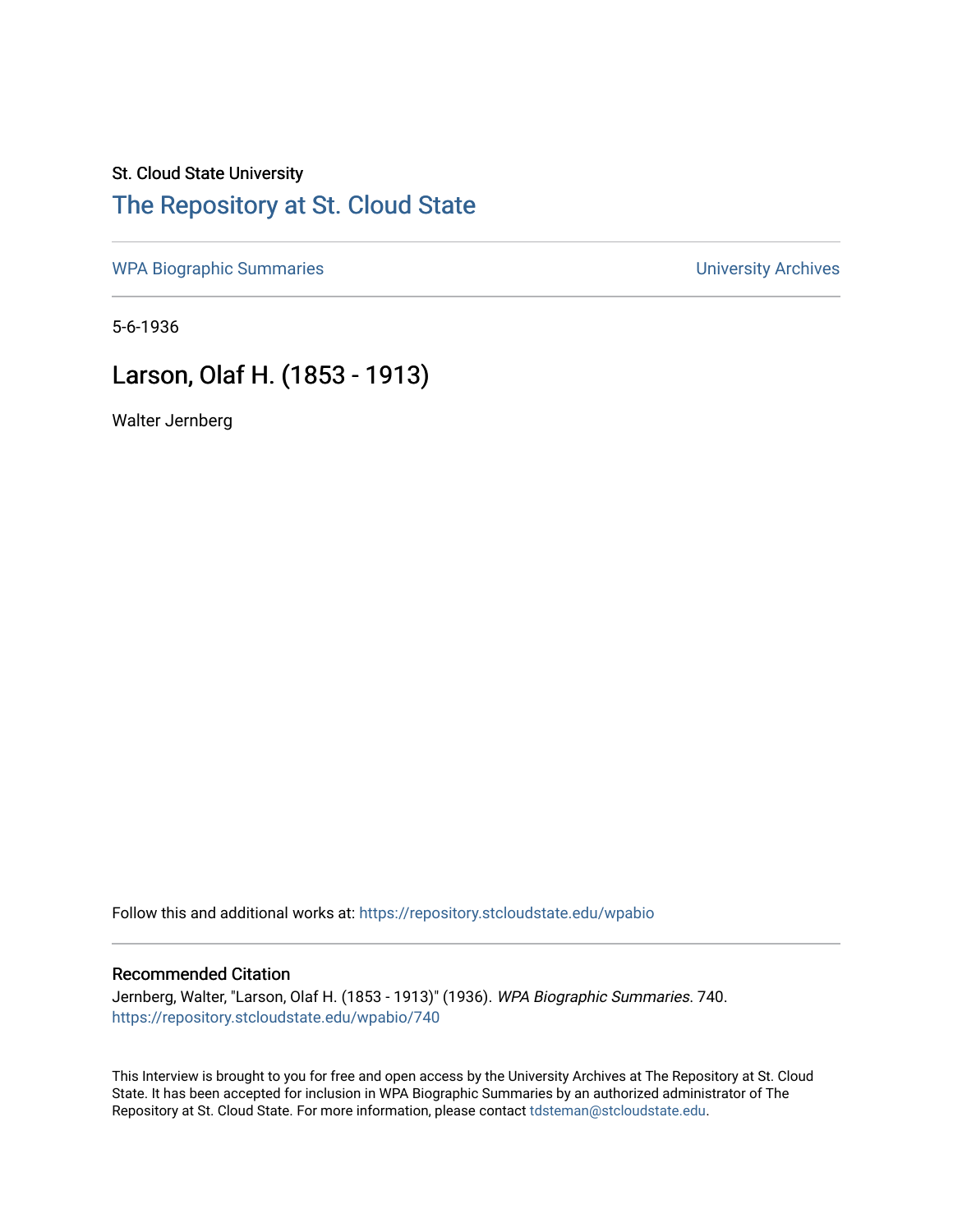### St. Cloud State University [The Repository at St. Cloud State](https://repository.stcloudstate.edu/)

[WPA Biographic Summaries](https://repository.stcloudstate.edu/wpabio) **WPA Biographic Summaries University Archives** 

5-6-1936

## Larson, Olaf H. (1853 - 1913)

Walter Jernberg

Follow this and additional works at: [https://repository.stcloudstate.edu/wpabio](https://repository.stcloudstate.edu/wpabio?utm_source=repository.stcloudstate.edu%2Fwpabio%2F740&utm_medium=PDF&utm_campaign=PDFCoverPages) 

#### Recommended Citation

Jernberg, Walter, "Larson, Olaf H. (1853 - 1913)" (1936). WPA Biographic Summaries. 740. [https://repository.stcloudstate.edu/wpabio/740](https://repository.stcloudstate.edu/wpabio/740?utm_source=repository.stcloudstate.edu%2Fwpabio%2F740&utm_medium=PDF&utm_campaign=PDFCoverPages) 

This Interview is brought to you for free and open access by the University Archives at The Repository at St. Cloud State. It has been accepted for inclusion in WPA Biographic Summaries by an authorized administrator of The Repository at St. Cloud State. For more information, please contact [tdsteman@stcloudstate.edu.](mailto:tdsteman@stcloudstate.edu)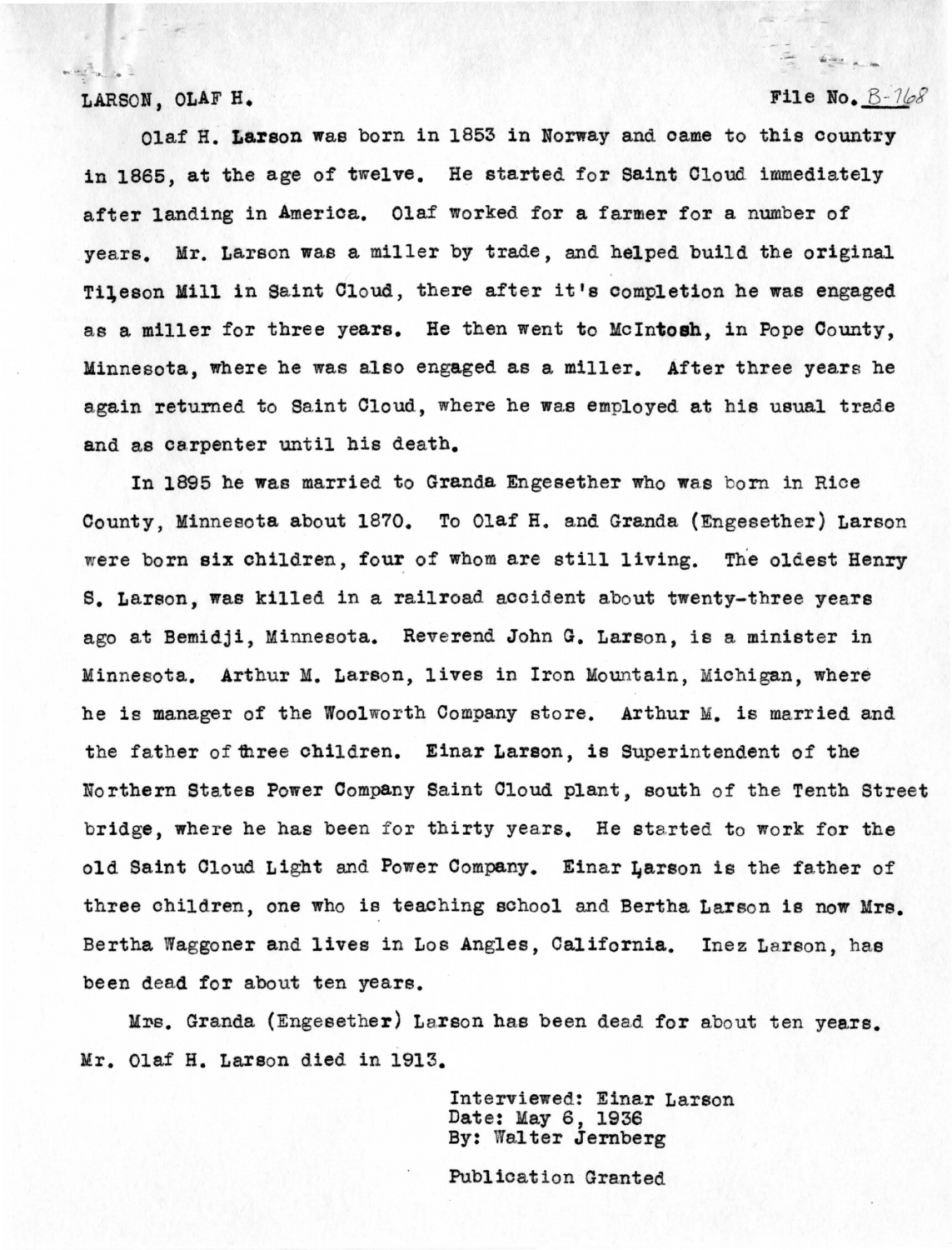#### LARSON, OLAF H.

 $\label{eq:11} \begin{array}{lllllllllll} \text{sech}(\mathcal{D}_{\text{in}})_{\text{in}} & \text{if} \quad \mathcal{D}_{\text{in}} \end{array}$ 

### File No.  $B-768$

 $42.4$ 

Olaf H. **Larson** was born in 1853 in Norway and oame to this country in 1865, at the age of twelve. He started for Saint Cloud immediately after landing in America. Olaf worked for a farmer for a number of years. Mr. Larson was a miller by trade, and helped build the original Tileson Mill in Saint Cloud, there after it's completion he was engaged as a miller for three years. He then went to **McIntosh,** in Pope County, Minnesota, where he was also engaged as a miller. After three years he again returned to Saint Cloud, where he was employed at his usual trade and as carpenter until his death.

In 1895 he was married to Granda Engesether who was born in Rice County, Minnesota about 1870. To Olaf H. and Granda (Engesether) Larson were born six children, four of whom are still living. The oldest Henry s. Larson, was killed in a railroad accident about twenty-three years ago at Bemidji, Minnesota. Reverend John G. Larson, is a minister in Minnesota. Arthur M. Larson, lives in Iron Mountain, Michigan, where he is manager of the Woolworth Company store. Arthur M. is married and the father of three children. Einar Larson, is Superintendent of the Northern States Power Company Saint Cloud plant, south of the Tenth Street bridge, where he has been for thirty years. He started to work for the old Saint Cloud Light and Power Company. Einar Larson is the father of three children, one who is teaching school and Bertha Larson is now Mrs. Bertha Waggoner and lives in Los Angles, California. Inez Larson, has been dead for about ten years.

Mrs. Granda (Engesether) Larson has been dead for about ten years. Mr. Olaf H. Larson died in 1913.

> Interviewed: Einar Larson Date: May 6, 1936 By: Walter Jernberg

Publication Granted